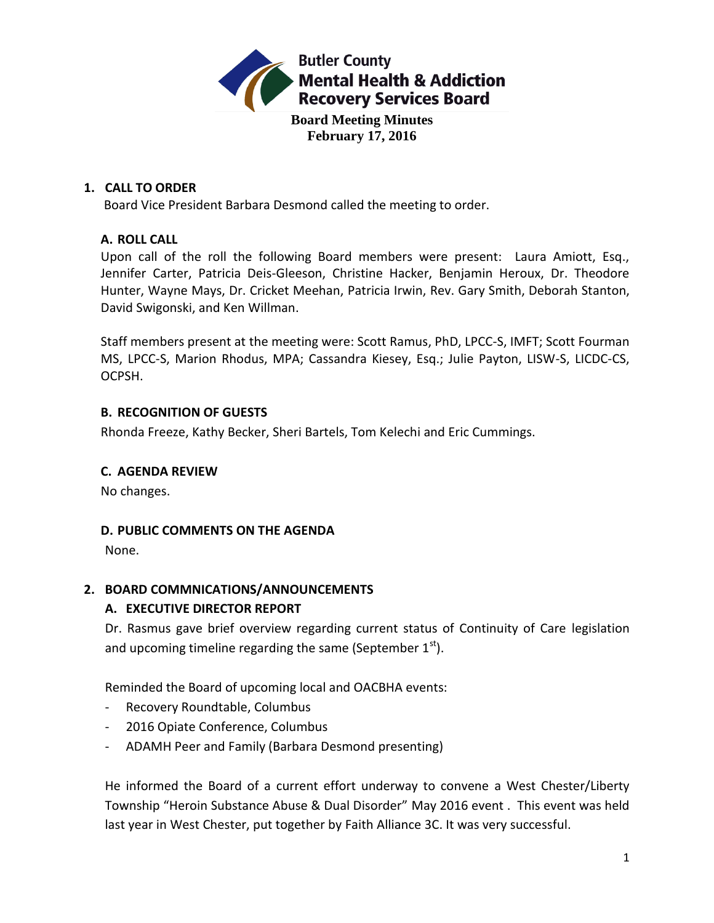

### **1. CALL TO ORDER**

Board Vice President Barbara Desmond called the meeting to order.

## **A. ROLL CALL**

Upon call of the roll the following Board members were present: Laura Amiott, Esq., Jennifer Carter, Patricia Deis-Gleeson, Christine Hacker, Benjamin Heroux, Dr. Theodore Hunter, Wayne Mays, Dr. Cricket Meehan, Patricia Irwin, Rev. Gary Smith, Deborah Stanton, David Swigonski, and Ken Willman.

Staff members present at the meeting were: Scott Ramus, PhD, LPCC-S, IMFT; Scott Fourman MS, LPCC-S, Marion Rhodus, MPA; Cassandra Kiesey, Esq.; Julie Payton, LISW-S, LICDC-CS, OCPSH.

## **B. RECOGNITION OF GUESTS**

Rhonda Freeze, Kathy Becker, Sheri Bartels, Tom Kelechi and Eric Cummings.

### **C. AGENDA REVIEW**

No changes.

### **D. PUBLIC COMMENTS ON THE AGENDA**

None.

# **2. BOARD COMMNICATIONS/ANNOUNCEMENTS**

# **A. EXECUTIVE DIRECTOR REPORT**

Dr. Rasmus gave brief overview regarding current status of Continuity of Care legislation and upcoming timeline regarding the same (September  $1<sup>st</sup>$ ).

Reminded the Board of upcoming local and OACBHA events:

- Recovery Roundtable, Columbus
- 2016 Opiate Conference, Columbus
- ADAMH Peer and Family (Barbara Desmond presenting)

He informed the Board of a current effort underway to convene a West Chester/Liberty Township "Heroin Substance Abuse & Dual Disorder" May 2016 event . This event was held last year in West Chester, put together by Faith Alliance 3C. It was very successful.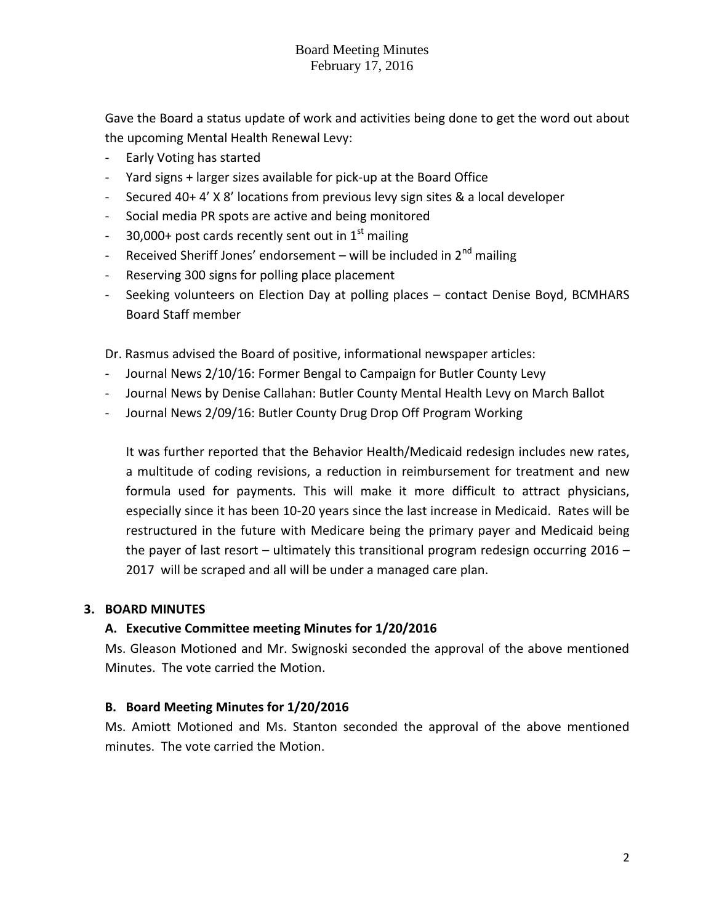Gave the Board a status update of work and activities being done to get the word out about the upcoming Mental Health Renewal Levy:

- Early Voting has started
- Yard signs + larger sizes available for pick-up at the Board Office
- Secured 40+ 4' X 8' locations from previous levy sign sites & a local developer
- Social media PR spots are active and being monitored
- $-$  30,000+ post cards recently sent out in  $1<sup>st</sup>$  mailing
- Received Sheriff Jones' endorsement will be included in  $2^{nd}$  mailing
- Reserving 300 signs for polling place placement
- Seeking volunteers on Election Day at polling places contact Denise Boyd, BCMHARS Board Staff member

Dr. Rasmus advised the Board of positive, informational newspaper articles:

- Journal News 2/10/16: Former Bengal to Campaign for Butler County Levy
- Journal News by Denise Callahan: Butler County Mental Health Levy on March Ballot
- Journal News 2/09/16: Butler County Drug Drop Off Program Working

It was further reported that the Behavior Health/Medicaid redesign includes new rates, a multitude of coding revisions, a reduction in reimbursement for treatment and new formula used for payments. This will make it more difficult to attract physicians, especially since it has been 10-20 years since the last increase in Medicaid. Rates will be restructured in the future with Medicare being the primary payer and Medicaid being the payer of last resort – ultimately this transitional program redesign occurring 2016 – 2017 will be scraped and all will be under a managed care plan.

#### **3. BOARD MINUTES**

### **A. Executive Committee meeting Minutes for 1/20/2016**

Ms. Gleason Motioned and Mr. Swignoski seconded the approval of the above mentioned Minutes. The vote carried the Motion.

#### **B. Board Meeting Minutes for 1/20/2016**

Ms. Amiott Motioned and Ms. Stanton seconded the approval of the above mentioned minutes. The vote carried the Motion.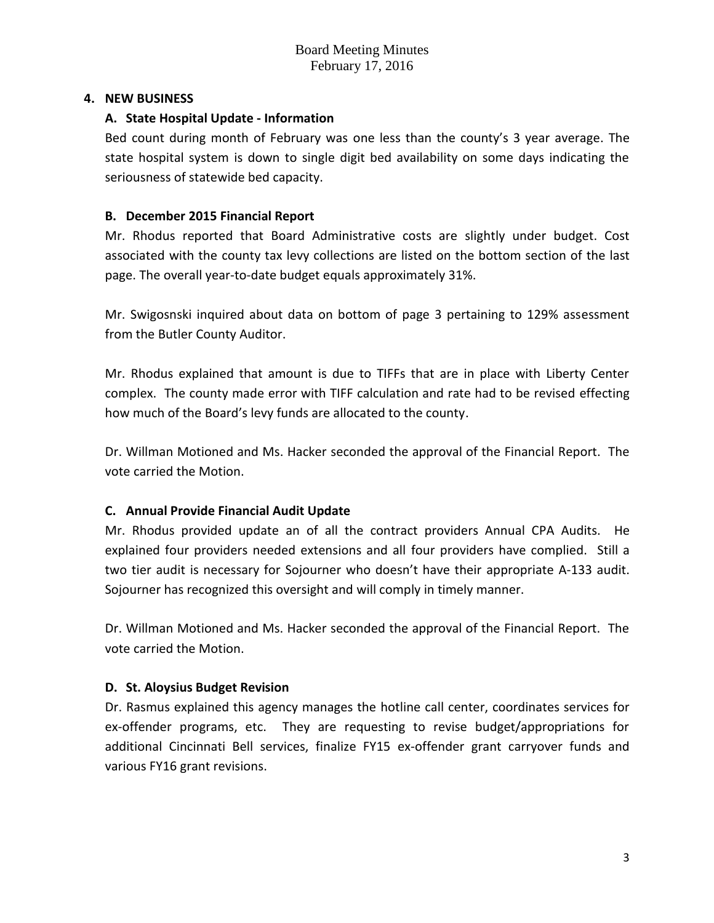#### **4. NEW BUSINESS**

#### **A. State Hospital Update - Information**

Bed count during month of February was one less than the county's 3 year average. The state hospital system is down to single digit bed availability on some days indicating the seriousness of statewide bed capacity.

#### **B. December 2015 Financial Report**

Mr. Rhodus reported that Board Administrative costs are slightly under budget. Cost associated with the county tax levy collections are listed on the bottom section of the last page. The overall year-to-date budget equals approximately 31%.

Mr. Swigosnski inquired about data on bottom of page 3 pertaining to 129% assessment from the Butler County Auditor.

Mr. Rhodus explained that amount is due to TIFFs that are in place with Liberty Center complex. The county made error with TIFF calculation and rate had to be revised effecting how much of the Board's levy funds are allocated to the county.

Dr. Willman Motioned and Ms. Hacker seconded the approval of the Financial Report. The vote carried the Motion.

### **C. Annual Provide Financial Audit Update**

Mr. Rhodus provided update an of all the contract providers Annual CPA Audits. He explained four providers needed extensions and all four providers have complied. Still a two tier audit is necessary for Sojourner who doesn't have their appropriate A-133 audit. Sojourner has recognized this oversight and will comply in timely manner.

Dr. Willman Motioned and Ms. Hacker seconded the approval of the Financial Report. The vote carried the Motion.

### **D. St. Aloysius Budget Revision**

Dr. Rasmus explained this agency manages the hotline call center, coordinates services for ex-offender programs, etc. They are requesting to revise budget/appropriations for additional Cincinnati Bell services, finalize FY15 ex-offender grant carryover funds and various FY16 grant revisions.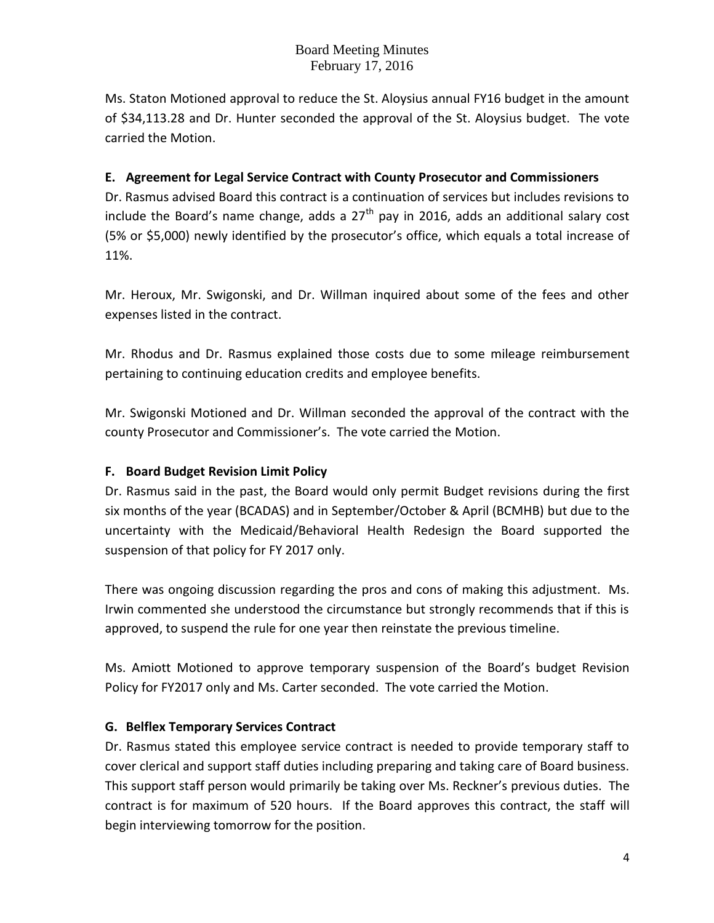Ms. Staton Motioned approval to reduce the St. Aloysius annual FY16 budget in the amount of \$34,113.28 and Dr. Hunter seconded the approval of the St. Aloysius budget. The vote carried the Motion.

## **E. Agreement for Legal Service Contract with County Prosecutor and Commissioners**

Dr. Rasmus advised Board this contract is a continuation of services but includes revisions to include the Board's name change, adds a  $27<sup>th</sup>$  pay in 2016, adds an additional salary cost (5% or \$5,000) newly identified by the prosecutor's office, which equals a total increase of 11%.

Mr. Heroux, Mr. Swigonski, and Dr. Willman inquired about some of the fees and other expenses listed in the contract.

Mr. Rhodus and Dr. Rasmus explained those costs due to some mileage reimbursement pertaining to continuing education credits and employee benefits.

Mr. Swigonski Motioned and Dr. Willman seconded the approval of the contract with the county Prosecutor and Commissioner's. The vote carried the Motion.

### **F. Board Budget Revision Limit Policy**

Dr. Rasmus said in the past, the Board would only permit Budget revisions during the first six months of the year (BCADAS) and in September/October & April (BCMHB) but due to the uncertainty with the Medicaid/Behavioral Health Redesign the Board supported the suspension of that policy for FY 2017 only.

There was ongoing discussion regarding the pros and cons of making this adjustment. Ms. Irwin commented she understood the circumstance but strongly recommends that if this is approved, to suspend the rule for one year then reinstate the previous timeline.

Ms. Amiott Motioned to approve temporary suspension of the Board's budget Revision Policy for FY2017 only and Ms. Carter seconded. The vote carried the Motion.

### **G. Belflex Temporary Services Contract**

Dr. Rasmus stated this employee service contract is needed to provide temporary staff to cover clerical and support staff duties including preparing and taking care of Board business. This support staff person would primarily be taking over Ms. Reckner's previous duties. The contract is for maximum of 520 hours. If the Board approves this contract, the staff will begin interviewing tomorrow for the position.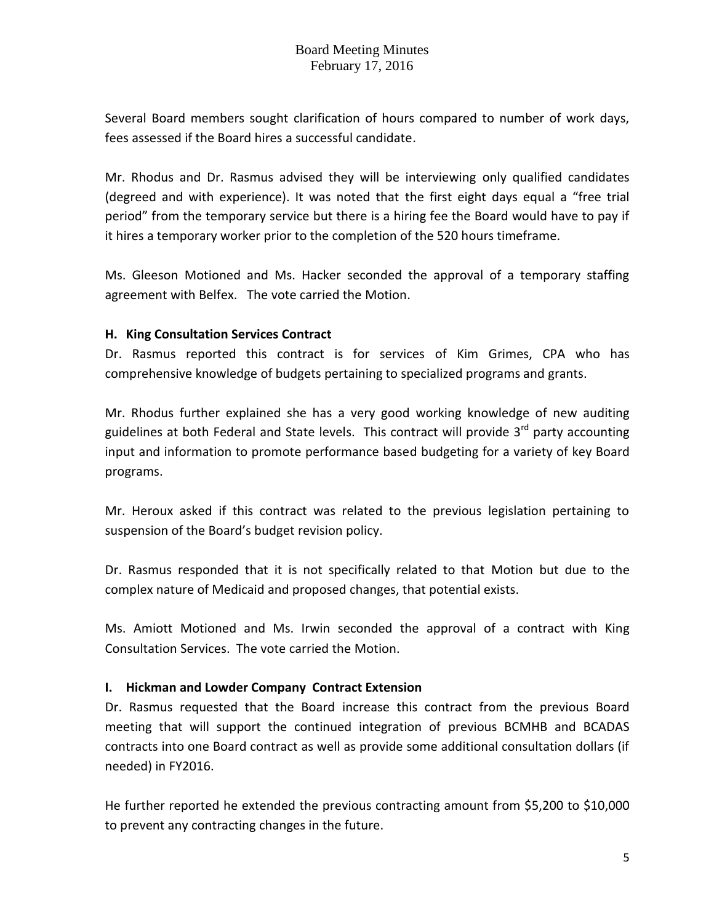Several Board members sought clarification of hours compared to number of work days, fees assessed if the Board hires a successful candidate.

Mr. Rhodus and Dr. Rasmus advised they will be interviewing only qualified candidates (degreed and with experience). It was noted that the first eight days equal a "free trial period" from the temporary service but there is a hiring fee the Board would have to pay if it hires a temporary worker prior to the completion of the 520 hours timeframe.

Ms. Gleeson Motioned and Ms. Hacker seconded the approval of a temporary staffing agreement with Belfex. The vote carried the Motion.

#### **H. King Consultation Services Contract**

Dr. Rasmus reported this contract is for services of Kim Grimes, CPA who has comprehensive knowledge of budgets pertaining to specialized programs and grants.

Mr. Rhodus further explained she has a very good working knowledge of new auditing guidelines at both Federal and State levels. This contract will provide  $3<sup>rd</sup>$  party accounting input and information to promote performance based budgeting for a variety of key Board programs.

Mr. Heroux asked if this contract was related to the previous legislation pertaining to suspension of the Board's budget revision policy.

Dr. Rasmus responded that it is not specifically related to that Motion but due to the complex nature of Medicaid and proposed changes, that potential exists.

Ms. Amiott Motioned and Ms. Irwin seconded the approval of a contract with King Consultation Services. The vote carried the Motion.

### **I. Hickman and Lowder Company Contract Extension**

Dr. Rasmus requested that the Board increase this contract from the previous Board meeting that will support the continued integration of previous BCMHB and BCADAS contracts into one Board contract as well as provide some additional consultation dollars (if needed) in FY2016.

He further reported he extended the previous contracting amount from \$5,200 to \$10,000 to prevent any contracting changes in the future.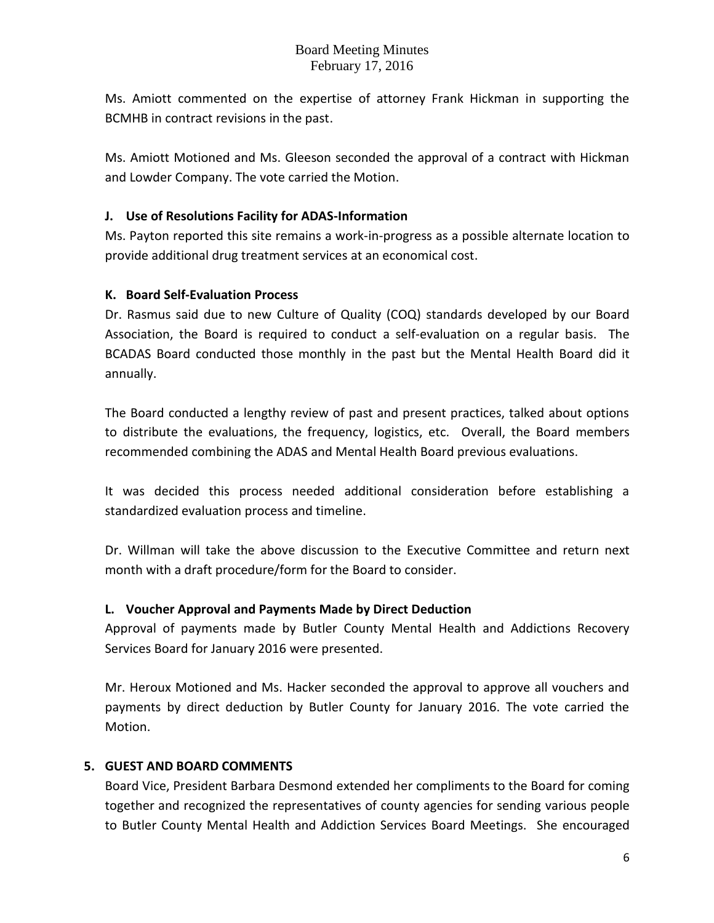Ms. Amiott commented on the expertise of attorney Frank Hickman in supporting the BCMHB in contract revisions in the past.

Ms. Amiott Motioned and Ms. Gleeson seconded the approval of a contract with Hickman and Lowder Company. The vote carried the Motion.

## **J. Use of Resolutions Facility for ADAS-Information**

Ms. Payton reported this site remains a work-in-progress as a possible alternate location to provide additional drug treatment services at an economical cost.

## **K. Board Self-Evaluation Process**

Dr. Rasmus said due to new Culture of Quality (COQ) standards developed by our Board Association, the Board is required to conduct a self-evaluation on a regular basis. The BCADAS Board conducted those monthly in the past but the Mental Health Board did it annually.

The Board conducted a lengthy review of past and present practices, talked about options to distribute the evaluations, the frequency, logistics, etc. Overall, the Board members recommended combining the ADAS and Mental Health Board previous evaluations.

It was decided this process needed additional consideration before establishing a standardized evaluation process and timeline.

Dr. Willman will take the above discussion to the Executive Committee and return next month with a draft procedure/form for the Board to consider.

# **L. Voucher Approval and Payments Made by Direct Deduction**

Approval of payments made by Butler County Mental Health and Addictions Recovery Services Board for January 2016 were presented.

Mr. Heroux Motioned and Ms. Hacker seconded the approval to approve all vouchers and payments by direct deduction by Butler County for January 2016. The vote carried the Motion.

### **5. GUEST AND BOARD COMMENTS**

Board Vice, President Barbara Desmond extended her compliments to the Board for coming together and recognized the representatives of county agencies for sending various people to Butler County Mental Health and Addiction Services Board Meetings. She encouraged